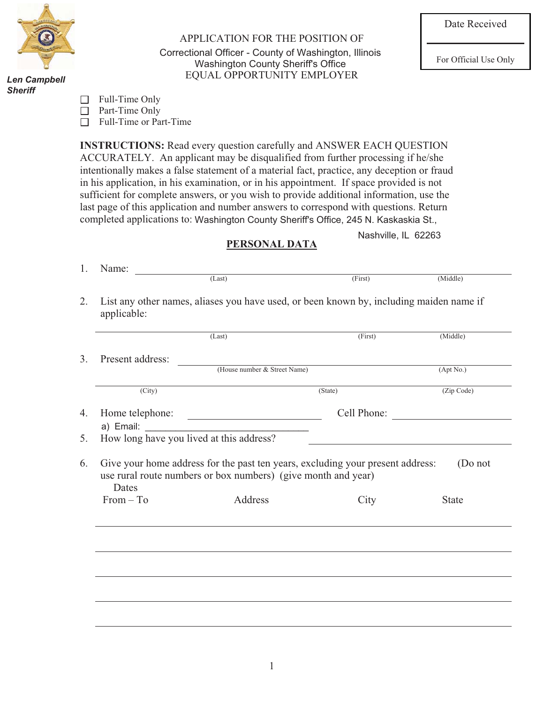

*Danny J. Bradac Len Campbell Sheriff Sheriff*

APPLICATION FOR THE POSITION OF Correctional Officer - County of Washington, Illinois EQUAL OPPORTUNITY EMPLOYER For Official Use Only<br>
For Official Use Only<br>
FOLIAT OPPORTUNITY FMPI OVER

| Full-Time Only |
|----------------|
|----------------|

□ Part-Time Only

□ Full-Time or Part-Time

**INSTRUCTIONS:** Read every question carefully and ANSWER EACH QUESTION ACCURATELY. An applicant may be disqualified from further processing if he/she intentionally makes a false statement of a material fact, practice, any deception or fraud in his application, in his examination, or in his appointment. If space provided is not sufficient for complete answers, or you wish to provide additional information, use the last page of this application and number answers to correspond with questions. Return completed applications to: Washington County Sheriff's Office, 245 N. Kaskaskia St., Marissa, Ind. 82200

Nashville, IL 62263

## **PERSONAL DATA**

|                     | (Last)                                                                                                                                          | (First)     | (Middle)     |
|---------------------|-------------------------------------------------------------------------------------------------------------------------------------------------|-------------|--------------|
| Present address:    |                                                                                                                                                 |             |              |
|                     | (House number & Street Name)                                                                                                                    |             | (Apt No.)    |
| $\overline{(City)}$ |                                                                                                                                                 | (State)     | (Zip Code)   |
| Home telephone:     |                                                                                                                                                 | Cell Phone: |              |
| a) Email:           |                                                                                                                                                 |             |              |
|                     | How long have you lived at this address?                                                                                                        |             |              |
| Dates               | Give your home address for the past ten years, excluding your present address:<br>use rural route numbers or box numbers) (give month and year) |             | (Do not      |
| $From - To$         | Address                                                                                                                                         | City        | <b>State</b> |
|                     |                                                                                                                                                 |             |              |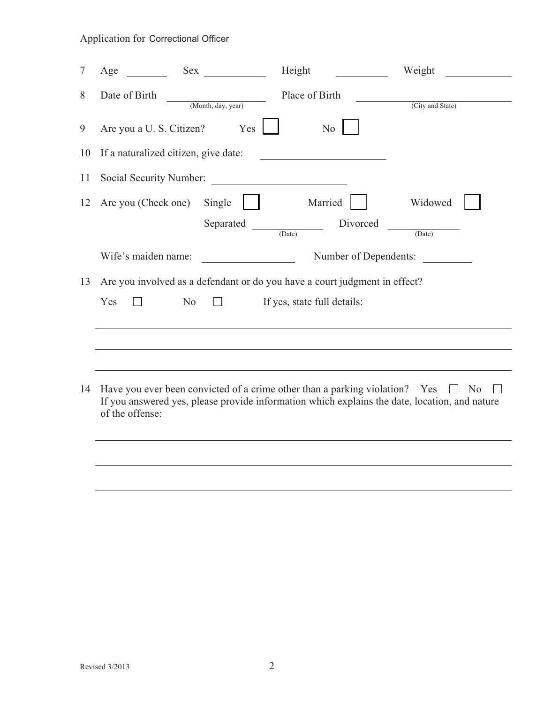| 7  | Age                                  | Sex and the set of the set of the set of the set of the set of the set of the set of the set of the set of the set of the set of the set of the set of the set of the set of the set of the set of the set of the set of the s | Height                                                                                                                                                                       | Weight           |
|----|--------------------------------------|--------------------------------------------------------------------------------------------------------------------------------------------------------------------------------------------------------------------------------|------------------------------------------------------------------------------------------------------------------------------------------------------------------------------|------------------|
| 8  | Date of Birth                        | (Month, day, year)                                                                                                                                                                                                             | Place of Birth                                                                                                                                                               | (City and State) |
| 9  | Are you a U. S. Citizen?             | Yes                                                                                                                                                                                                                            | N <sub>o</sub>                                                                                                                                                               |                  |
| 10 | If a naturalized citizen, give date: |                                                                                                                                                                                                                                |                                                                                                                                                                              |                  |
| 11 | Social Security Number:              |                                                                                                                                                                                                                                | <u> 1980 - Andrea Station Books, amerikansk politik (</u>                                                                                                                    |                  |
| 12 | Are you (Check one)                  | Single<br>Separated                                                                                                                                                                                                            | Married<br>Divorced                                                                                                                                                          | Widowed          |
|    |                                      |                                                                                                                                                                                                                                | (Date)                                                                                                                                                                       | (Date)           |
|    | Wife's maiden name:                  |                                                                                                                                                                                                                                | Number of Dependents:                                                                                                                                                        |                  |
| 13 |                                      |                                                                                                                                                                                                                                | Are you involved as a defendant or do you have a court judgment in effect?                                                                                                   |                  |
|    | Yes                                  | N <sub>o</sub>                                                                                                                                                                                                                 | If yes, state full details:                                                                                                                                                  |                  |
|    |                                      |                                                                                                                                                                                                                                |                                                                                                                                                                              |                  |
|    |                                      |                                                                                                                                                                                                                                |                                                                                                                                                                              |                  |
| 14 | of the offense:                      |                                                                                                                                                                                                                                | Have you ever been convicted of a crime other than a parking violation? Yes<br>If you answered yes, please provide information which explains the date, location, and nature | $\Box$ No        |
|    |                                      |                                                                                                                                                                                                                                |                                                                                                                                                                              |                  |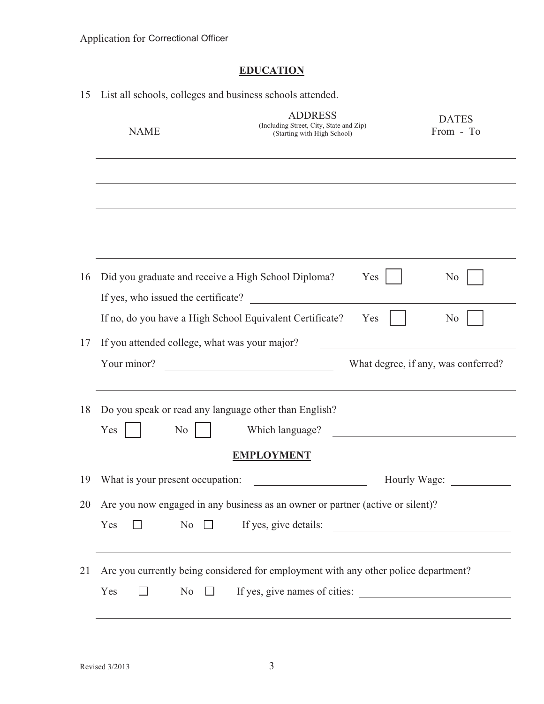# **EDUCATION**

| 15 | List all schools, colleges and business schools attended. |                                                                                                                      |              |                                     |
|----|-----------------------------------------------------------|----------------------------------------------------------------------------------------------------------------------|--------------|-------------------------------------|
|    | <b>NAME</b>                                               | <b>ADDRESS</b><br>(Including Street, City, State and Zip)<br>(Starting with High School)                             |              | <b>DATES</b><br>From - To           |
|    |                                                           |                                                                                                                      |              |                                     |
|    |                                                           |                                                                                                                      |              |                                     |
|    |                                                           |                                                                                                                      |              |                                     |
|    |                                                           |                                                                                                                      |              |                                     |
| 16 | If yes, who issued the certificate?                       | Did you graduate and receive a High School Diploma?                                                                  | Yes          | N <sub>0</sub>                      |
|    |                                                           | If no, do you have a High School Equivalent Certificate?                                                             | Yes          | N <sub>0</sub>                      |
| 17 | If you attended college, what was your major?             |                                                                                                                      |              |                                     |
|    | Your minor?                                               |                                                                                                                      |              | What degree, if any, was conferred? |
| 18 |                                                           | Do you speak or read any language other than English?                                                                |              |                                     |
|    | Yes<br>N <sub>0</sub>                                     | Which language?                                                                                                      |              |                                     |
|    |                                                           | <b>EMPLOYMENT</b>                                                                                                    |              |                                     |
| 19 | What is your present occupation:                          |                                                                                                                      | Hourly Wage: |                                     |
| 20 |                                                           | Are you now engaged in any business as an owner or partner (active or silent)?                                       |              |                                     |
|    | Yes<br>No                                                 | If yes, give details:                                                                                                |              |                                     |
| 21 | N <sub>o</sub><br>Yes<br>$\perp$                          | Are you currently being considered for employment with any other police department?<br>If yes, give names of cities: |              |                                     |
|    |                                                           |                                                                                                                      |              |                                     |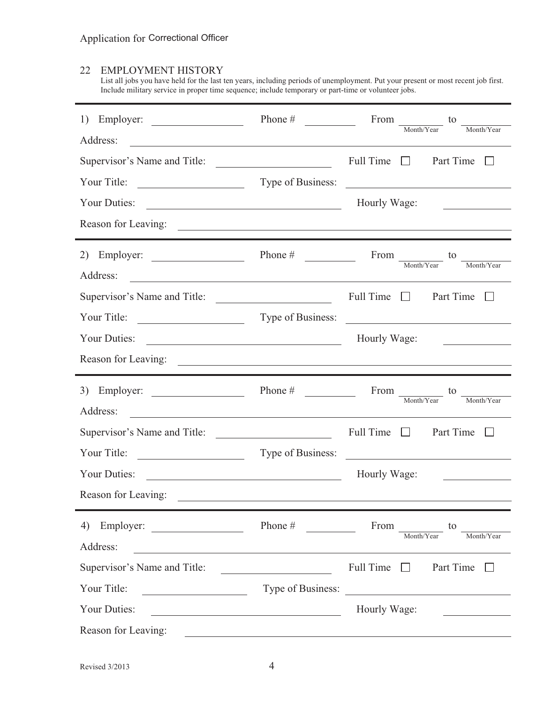## 22 EMPLOYMENT HISTORY

List all jobs you have held for the last ten years, including periods of unemployment. Put your present or most recent job first. Include military service in proper time sequence; include temporary or part-time or volunteer jobs.

| Employer:<br>1)<br>Address:                                                                                                           | Phone $#$                                                                                                            | From $\frac{1}{\text{Month/Year}}$ to<br>Month/Year                                                                    |
|---------------------------------------------------------------------------------------------------------------------------------------|----------------------------------------------------------------------------------------------------------------------|------------------------------------------------------------------------------------------------------------------------|
| <u> 1989 - Johann Stoff, Amerikaansk politiker († 1908)</u><br>Supervisor's Name and Title:                                           |                                                                                                                      | Full Time $\Box$<br>Part Time<br>L                                                                                     |
| Your Title:<br><u> 1989 - Andrea Barbara, poeta espa</u>                                                                              |                                                                                                                      | Type of Business:                                                                                                      |
| Your Duties:<br><u> 1989 - Johann Barn, mars eta bainar eta baina eta baina eta baina eta baina eta baina eta baina eta baina e</u>   |                                                                                                                      | Hourly Wage:                                                                                                           |
|                                                                                                                                       |                                                                                                                      |                                                                                                                        |
| Employer:<br>2)<br>Address:                                                                                                           | Phone $#$                                                                                                            | From $\frac{1}{\text{Month/Year}}$ to<br>$\underline{\hspace{1cm}}\textbf{Month/Year}$                                 |
| Supervisor's Name and Title:                                                                                                          |                                                                                                                      | Full Time $\Box$ Part Time $\Box$                                                                                      |
|                                                                                                                                       |                                                                                                                      | Type of Business:                                                                                                      |
| Your Duties:                                                                                                                          |                                                                                                                      | Hourly Wage:<br>the company of the company of the company of                                                           |
|                                                                                                                                       |                                                                                                                      |                                                                                                                        |
|                                                                                                                                       |                                                                                                                      |                                                                                                                        |
| 3) Employer: $\qquad \qquad$                                                                                                          | Phone $\#$                                                                                                           | From to<br>Month/Year<br>Month/Year                                                                                    |
| Address:<br><u> 1989 - Johann Stoff, deutscher Stoffen und der Stoffen und der Stoffen und der Stoffen und der Stoffen und der</u>    |                                                                                                                      |                                                                                                                        |
| Supervisor's Name and Title:                                                                                                          |                                                                                                                      | Full Time $\Box$<br>Part Time $\Box$                                                                                   |
| Your Title:                                                                                                                           | Type of Business:                                                                                                    | <u> 1989 - Jan Sterlinger, fransk politiker (d. 1989)</u>                                                              |
| Your Duties:<br><u> 1989 - Johann Barbara, martin amerikan basal dan berasal dan berasal dalam basal dan berasal dalam berasal da</u> |                                                                                                                      | Hourly Wage:<br><u> The Communication of the Communication</u>                                                         |
| Reason for Leaving:                                                                                                                   | <u> Alexandria de la contrada de la contrada de la contrada de la contrada de la contrada de la contrada de la c</u> |                                                                                                                        |
|                                                                                                                                       | Phone #                                                                                                              | From<br>to<br>Month/Year<br>Month/Year                                                                                 |
| Address:<br><u> 1980 - Johann Stoff, deutscher Stoffen und der Stoffen und der Stoffen und der Stoffen und der Stoffen und der</u>    |                                                                                                                      |                                                                                                                        |
| Supervisor's Name and Title:                                                                                                          |                                                                                                                      | Full Time $\Box$<br>Part Time                                                                                          |
| Your Title:                                                                                                                           | Type of Business:                                                                                                    | <u> Alexandria de la construcción de la construcción de la construcción de la construcción de la construcción de l</u> |
| Your Duties:                                                                                                                          | <u> 1980 - Johann Barn, fransk politik (f. 1980)</u>                                                                 | Hourly Wage:                                                                                                           |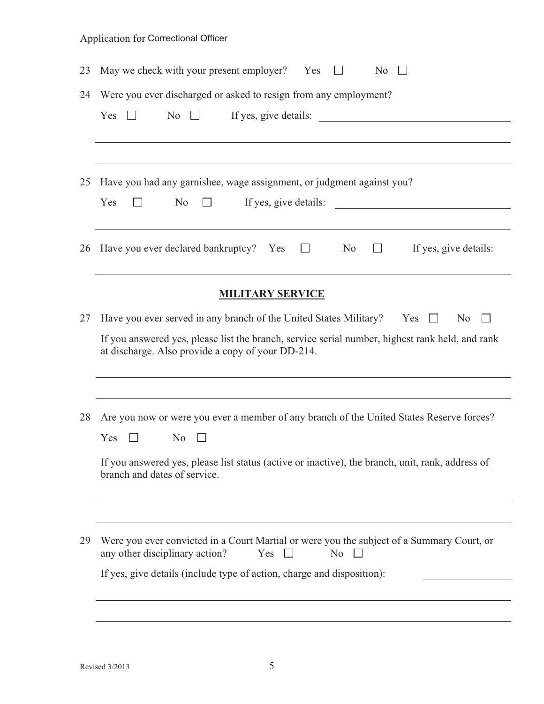| 23 | May we check with your present employer? Yes<br>N <sub>0</sub>                                                                                                                                                                                             |  |  |  |
|----|------------------------------------------------------------------------------------------------------------------------------------------------------------------------------------------------------------------------------------------------------------|--|--|--|
| 24 | Were you ever discharged or asked to resign from any employment?<br>If yes, give details:<br>N <sub>0</sub><br>Yes                                                                                                                                         |  |  |  |
| 25 | Have you had any garnishee, wage assignment, or judgment against you?<br>If yes, give details:<br>Yes<br>N <sub>0</sub><br>$\perp$<br><u> Liste de la construcción de la construcción de la construcción de la construcción de la construcción de la c</u> |  |  |  |
| 26 | Have you ever declared bankruptcy? Yes $\square$<br>No<br>If yes, give details:<br><b>The Common</b>                                                                                                                                                       |  |  |  |
|    | <b>MILITARY SERVICE</b>                                                                                                                                                                                                                                    |  |  |  |
| 27 | Have you ever served in any branch of the United States Military? Yes<br>N <sub>0</sub><br>$\perp$<br>If you answered yes, please list the branch, service serial number, highest rank held, and rank<br>at discharge. Also provide a copy of your DD-214. |  |  |  |
| 28 | Are you now or were you ever a member of any branch of the United States Reserve forces?<br>Yes<br>N <sub>0</sub><br>If you answered yes, please list status (active or inactive), the branch, unit, rank, address of<br>branch and dates of service.      |  |  |  |
| 29 | Were you ever convicted in a Court Martial or were you the subject of a Summary Court, or<br>any other disciplinary action?<br>Yes<br>N <sub>o</sub><br>$\perp$<br>If yes, give details (include type of action, charge and disposition):                  |  |  |  |
|    |                                                                                                                                                                                                                                                            |  |  |  |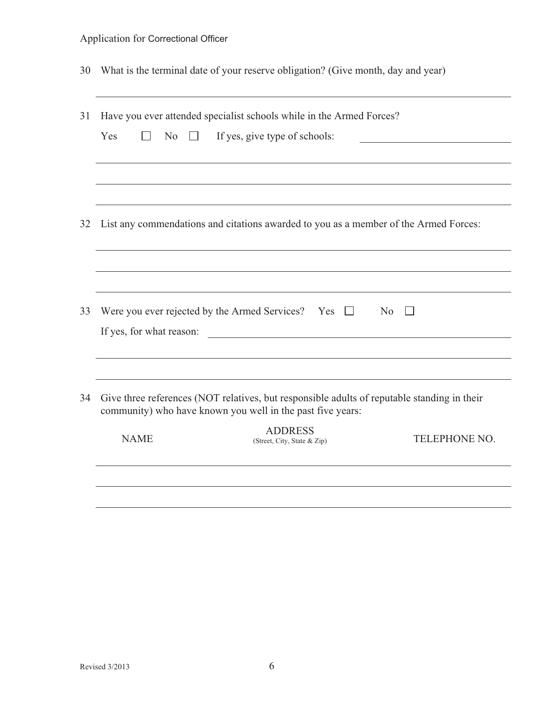| 30 | What is the terminal date of your reserve obligation? (Give month, day and year)                                                                                            |  |  |
|----|-----------------------------------------------------------------------------------------------------------------------------------------------------------------------------|--|--|
| 31 | Have you ever attended specialist schools while in the Armed Forces?<br>Yes<br>N <sub>0</sub><br>If yes, give type of schools:<br>$\sim 100$<br>$\Box$                      |  |  |
|    |                                                                                                                                                                             |  |  |
| 32 | List any commendations and citations awarded to you as a member of the Armed Forces:                                                                                        |  |  |
|    |                                                                                                                                                                             |  |  |
| 33 | Were you ever rejected by the Armed Services? Yes $\Box$<br>N <sub>0</sub><br>$\mathbf{L}$<br>If yes, for what reason:<br><u> 1989 - Johann Barbara, martin amerikan ba</u> |  |  |
|    |                                                                                                                                                                             |  |  |
| 34 | Give three references (NOT relatives, but responsible adults of reputable standing in their<br>community) who have known you well in the past five years:                   |  |  |
|    | <b>ADDRESS</b><br><b>NAME</b><br><b>TELEPHONE NO.</b><br>(Street, City, State & Zip)                                                                                        |  |  |
|    |                                                                                                                                                                             |  |  |
|    |                                                                                                                                                                             |  |  |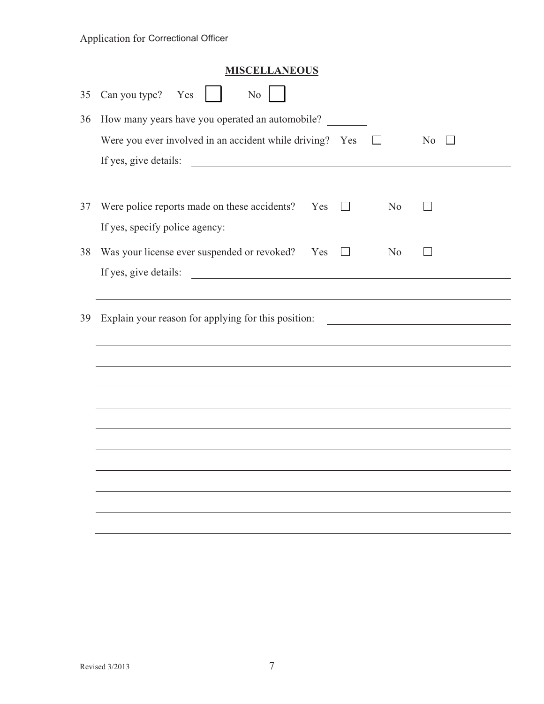| <b>MISCELLANEOUS</b>                                                                                                                           |
|------------------------------------------------------------------------------------------------------------------------------------------------|
| Can you type?<br>Yes<br>No                                                                                                                     |
| How many years have you operated an automobile?                                                                                                |
| Were you ever involved in an accident while driving? Yes<br>N <sub>0</sub>                                                                     |
| If yes, give details:<br><u> 1989 - Johann Stoff, fransk politik (d. 1989)</u>                                                                 |
|                                                                                                                                                |
| Were police reports made on these accidents?<br>N <sub>o</sub><br>Yes                                                                          |
|                                                                                                                                                |
| Was your license ever suspended or revoked? Yes<br>N <sub>0</sub><br>$\perp$                                                                   |
| If yes, give details:<br><u> 1989 - Andrea State Barbara, amerikan personal di sebagai personal di sebagai personal di sebagai personal di</u> |
|                                                                                                                                                |
| Explain your reason for applying for this position:<br><u> 1989 - Johann Barbara, martxa eta idazlea (h. 1989).</u>                            |
|                                                                                                                                                |
|                                                                                                                                                |
|                                                                                                                                                |
|                                                                                                                                                |
|                                                                                                                                                |
|                                                                                                                                                |
|                                                                                                                                                |
|                                                                                                                                                |
|                                                                                                                                                |
|                                                                                                                                                |
|                                                                                                                                                |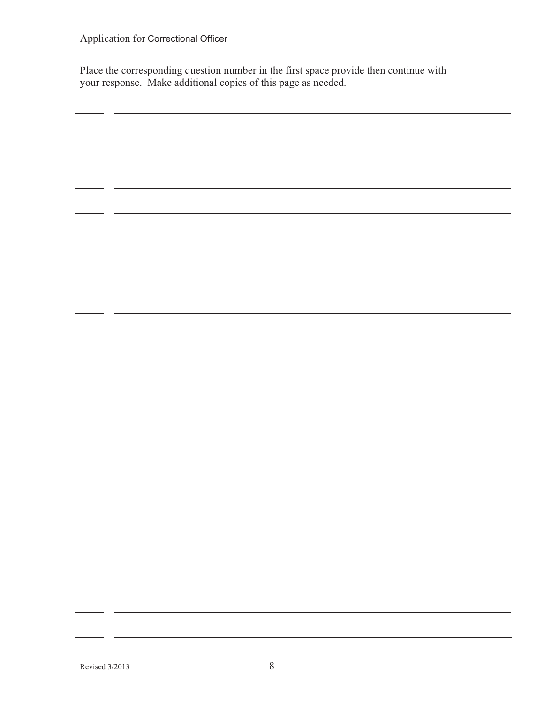Place the corresponding question number in the first space provide then continue with your response. Make additional copies of this page as needed.

| - - |  |
|-----|--|
|     |  |
|     |  |
|     |  |
|     |  |
|     |  |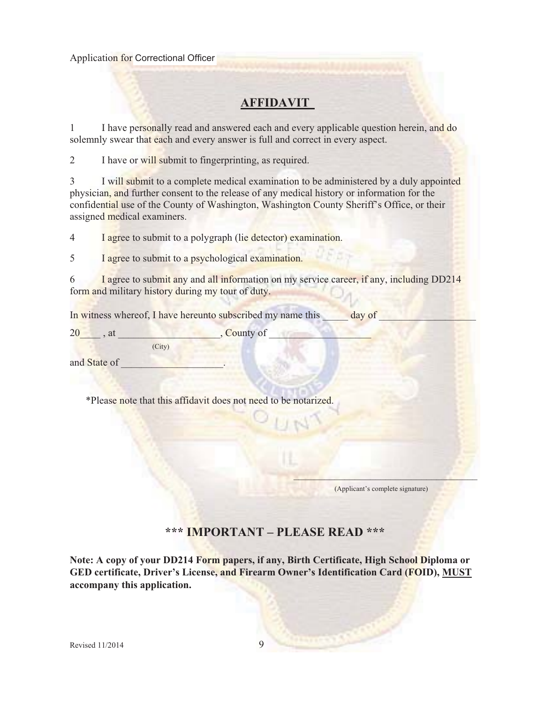## **AFFIDAVIT**

1 I have personally read and answered each and every applicable question herein, and do solemnly swear that each and every answer is full and correct in every aspect.

2 I have or will submit to fingerprinting, as required.

3 I will submit to a complete medical examination to be administered by a duly appointed physician, and further consent to the release of any medical history or information for the confidential use of the County of Washington, Washington County Sheriff's Office, or their assigned medical examiners.

4 I agree to submit to a polygraph (lie detector) examination.

5 I agree to submit to a psychological examination.

6 I agree to submit any and all information on my service career, if any, including DD214 form and military history during my tour of duty.

In witness whereof, I have hereunto subscribed my name this \_\_\_\_\_\_ day of

 $20 \rightarrow \text{at}$ , at  $\sim$  . County of (City)

and State of

\*Please note that this affidavit does not need to be notarized.

(Applicant's complete signature)

 $\mathbf{v}$  and  $\mathbf{v}$  are all the set of  $\mathbf{v}$  and  $\mathbf{v}$ 

## **\*\*\* IMPORTANT – PLEASE READ \*\*\***

**Note: A copy of your DD214 Form papers, if any, Birth Certificate, High School Diploma or GED certificate, Driver's License, and Firearm Owner's Identification Card (FOID), MUST accompany this application.**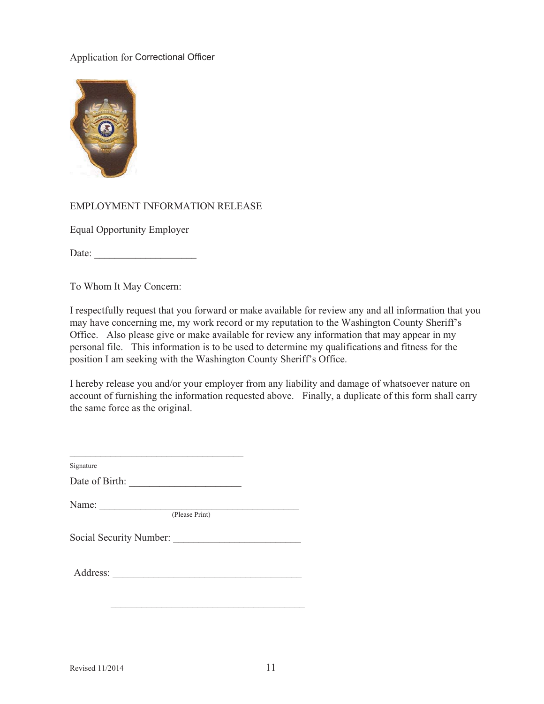

#### EMPLOYMENT INFORMATION RELEASE

Equal Opportunity Employer

Date:

To Whom It May Concern:

I respectfully request that you forward or make available for review any and all information that you may have concerning me, my work record or my reputation to the Washington County Sheriff's Office. Also please give or make available for review any information that may appear in my personal file. This information is to be used to determine my qualifications and fitness for the position I am seeking with the Washington County Sheriff's Office.

I hereby release you and/or your employer from any liability and damage of whatsoever nature on account of furnishing the information requested above. Finally, a duplicate of this form shall carry the same force as the original.

| Date of Birth:                                                                                                   |  |
|------------------------------------------------------------------------------------------------------------------|--|
|                                                                                                                  |  |
| Name: $\frac{1}{\sqrt{1-\frac{1}{2}}\sqrt{1-\frac{1}{2}}\left(\frac{1}{2}-\frac{1}{2}\right)}$<br>(Please Print) |  |
| Social Security Number:                                                                                          |  |
|                                                                                                                  |  |